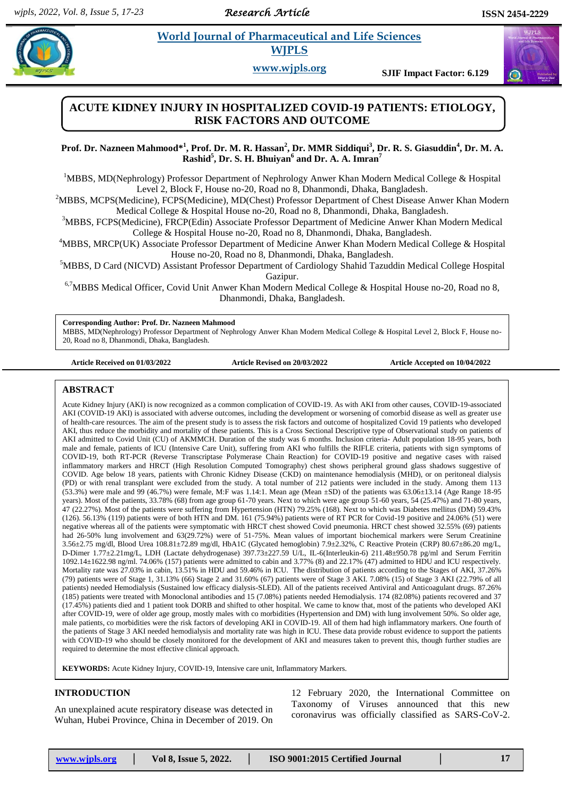*Research Article* 

# **Paramaceutical and Life Sciences WJPLS**

**www.wjpls.org SJIF Impact Factor: 6.129**



**Prof. Dr. Nazneen Mahmood\* 1 , Prof. Dr. M. R. Hassan<sup>2</sup> , Dr. MMR Siddiqui<sup>3</sup> , Dr. R. S. Giasuddin<sup>4</sup> , Dr. M. A. Rashid<sup>5</sup> , Dr. S. H. Bhuiyan<sup>6</sup> and Dr. A. A. Imran<sup>7</sup>**

<sup>1</sup>MBBS, MD(Nephrology) Professor Department of Nephrology Anwer Khan Modern Medical College & Hospital Level 2, Block F, House no-20, Road no 8, Dhanmondi, Dhaka, Bangladesh.

<sup>2</sup>MBBS, MCPS(Medicine), FCPS(Medicine), MD(Chest) Professor Department of Chest Disease Anwer Khan Modern Medical College & Hospital House no-20, Road no 8, Dhanmondi, Dhaka, Bangladesh.

<sup>3</sup>MBBS, FCPS(Medicine), FRCP(Edin) Associate Professor Department of Medicine Anwer Khan Modern Medical College & Hospital House no-20, Road no 8, Dhanmondi, Dhaka, Bangladesh.

<sup>4</sup>MBBS, MRCP(UK) Associate Professor Department of Medicine Anwer Khan Modern Medical College & Hospital House no-20, Road no 8, Dhanmondi, Dhaka, Bangladesh.

<sup>5</sup>MBBS, D Card (NICVD) Assistant Professor Department of Cardiology Shahid Tazuddin Medical College Hospital Gazipur.

<sup>6,7</sup>MBBS Medical Officer, Covid Unit Anwer Khan Modern Medical College & Hospital House no-20, Road no 8, Dhanmondi, Dhaka, Bangladesh.

**Corresponding Author: Prof. Dr. Nazneen Mahmood**

MBBS, MD(Nephrology) Professor Department of Nephrology Anwer Khan Modern Medical College & Hospital Level 2, Block F, House no-20, Road no 8, Dhanmondi, Dhaka, Bangladesh.

**Article Received on 01/03/2022 Article Revised on 20/03/2022 Article Accepted on 10/04/2022**

#### **ABSTRACT**

Acute Kidney Injury (AKI) is now recognized as a common complication of COVID-19. As with AKI from other causes, COVID-19-associated AKI (COVID-19 AKI) is associated with adverse outcomes, including the development or worsening of comorbid disease as well as greater use of health-care resources. The aim of the present study is to assess the risk factors and outcome of hospitalized Covid 19 patients who developed AKI, thus reduce the morbidity and mortality of these patients. This is a Cross Sectional Descriptive type of Observational study on patients of AKI admitted to Covid Unit (CU) of AKMMCH. Duration of the study was 6 months. Inclusion criteria- Adult population 18-95 years, both male and female, patients of ICU (Intensive Care Unit), suffering from AKI who fulfills the RIFLE criteria, patients with sign symptoms of COVID-19, both RT-PCR (Reverse Transcriptase Polymerase Chain Reaction) for COVID-19 positive and negative cases with raised inflammatory markers and HRCT (High Resolution Computed Tomography) chest shows peripheral ground glass shadows suggestive of COVID. Age below 18 years, patients with Chronic Kidney Disease (CKD) on maintenance hemodialysis (MHD), or on peritoneal dialysis (PD) or with renal transplant were excluded from the study. A total number of 212 patients were included in the study. Among them 113 (53.3%) were male and 99 (46.7%) were female, M:F was 1.14:1. Mean age (Mean ±SD) of the patients was 63.06±13.14 (Age Range 18-95 years). Most of the patients, 33.78% (68) from age group 61-70 years. Next to which were age group 51-60 years, 54 (25.47%) and 71-80 years, 47 (22.27%). Most of the patients were suffering from Hypertension (HTN) 79.25% (168). Next to which was Diabetes mellitus (DM) 59.43% (126). 56.13% (119) patients were of both HTN and DM. 161 (75.94%) patients were of RT PCR for Covid-19 positive and 24.06% (51) were negative whereas all of the patients were symptomatic with HRCT chest showed Covid pneumonia. HRCT chest showed 32.55% (69) patients had 26-50% lung involvement and 63(29.72%) were of 51-75%. Mean values of important biochemical markers were Serum Creatinine 3.56±2.75 mg/dl, Blood Urea 108.81±72.89 mg/dl, HbA1C (Glycated hemoglobin) 7.9±2.32%, C Reactive Protein (CRP) 80.67±86.20 mg/L, D-Dimer 1.77±2.21mg/L, LDH (Lactate dehydrogenase) 397.73±227.59 U/L, IL-6(Interleukin-6) 211.48±950.78 pg/ml and Serum Ferritin 1092.14±1622.98 ng/ml. 74.06% (157) patients were admitted to cabin and 3.77% (8) and 22.17% (47) admitted to HDU and ICU respectively. Mortality rate was 27.03% in cabin, 13.51% in HDU and 59.46% in ICU. The distribution of patients according to the Stages of AKI, 37.26% (79) patients were of Stage 1, 31.13% (66) Stage 2 and 31.60% (67) patients were of Stage 3 AKI. 7.08% (15) of Stage 3 AKI (22.79% of all patients) needed Hemodialysis (Sustained low efficacy dialysis-SLED). All of the patients received Antiviral and Anticoagulant drugs. 87.26% (185) patients were treated with Monoclonal antibodies and 15 (7.08%) patients needed Hemodialysis. 174 (82.08%) patients recovered and 37 (17.45%) patients died and 1 patient took DORB and shifted to other hospital. We came to know that, most of the patients who developed AKI after COVID-19, were of older age group, mostly males with co morbidities (Hypertension and DM) with lung involvement 50%. So older age, male patients, co morbidities were the risk factors of developing AKI in COVID-19. All of them had high inflammatory markers. One fourth of the patients of Stage 3 AKI needed hemodialysis and mortality rate was high in ICU. These data provide robust evidence to support the patients with COVID-19 who should be closely monitored for the development of AKI and measures taken to prevent this, though further studies are required to determine the most effective clinical approach.

**KEYWORDS:** Acute Kidney Injury, COVID-19, Intensive care unit, Inflammatory Markers.

#### **INTRODUCTION**

An unexplained acute respiratory disease was detected in Wuhan, Hubei Province, China in December of 2019. On 12 February 2020, the International Committee on Taxonomy of Viruses announced that this new coronavirus was officially classified as SARS-CoV-2.

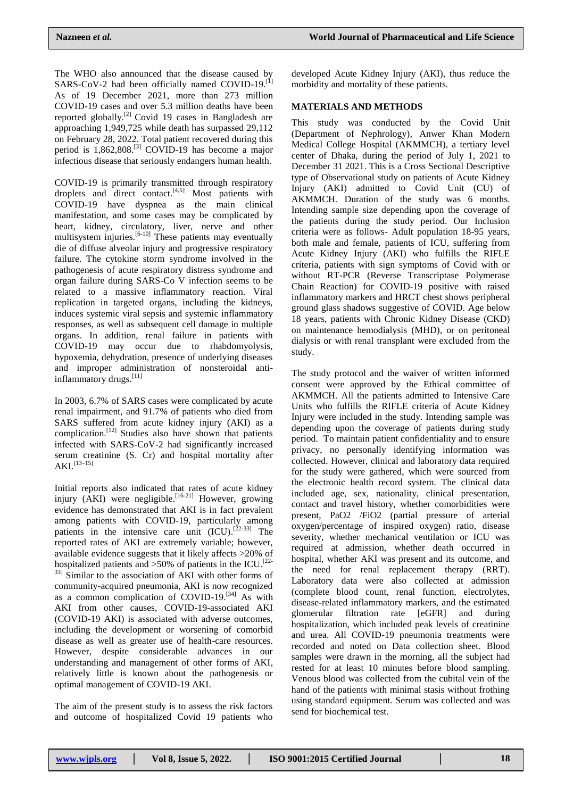The WHO also announced that the disease caused by SARS-CoV-2 had been officially named COVID-19.<sup>[1]</sup> As of 19 December 2021, more than 273 million COVID-19 cases and over 5.3 million deaths have been reported globally.<sup>[2]</sup> Covid 19 cases in Bangladesh are approaching 1,949,725 while death has surpassed 29,112 on February 28, 2022. Total patient recovered during this period is  $1,862,808$ .<sup>[3]</sup> COVID-19 has become a major infectious disease that seriously endangers human health.

COVID-19 is primarily transmitted through respiratory droplets and direct contact. $[4,5]$  Most patients with COVID-19 have dyspnea as the main clinical manifestation, and some cases may be complicated by heart, kidney, circulatory, liver, nerve and other multisystem injuries. $[6-10]$  These patients may eventually die of diffuse alveolar injury and progressive respiratory failure. The cytokine storm syndrome involved in the pathogenesis of acute respiratory distress syndrome and organ failure during SARS-Co V infection seems to be related to a massive inflammatory reaction. Viral replication in targeted organs, including the kidneys, induces systemic viral sepsis and systemic inflammatory responses, as well as subsequent cell damage in multiple organs. In addition, renal failure in patients with COVID-19 may occur due to rhabdomyolysis, hypoxemia, dehydration, presence of underlying diseases and improper administration of nonsteroidal antiinflammatory drugs.<sup>[11]</sup>

In 2003, 6.7% of SARS cases were complicated by acute renal impairment, and 91.7% of patients who died from SARS suffered from acute kidney injury (AKI) as a complication.<sup>[12]</sup> Studies also have shown that patients infected with SARS-CoV-2 had significantly increased serum creatinine (S. Cr) and hospital mortality after  $AKI.<sup>[13–15]</sup>$ 

Initial reports also indicated that rates of acute kidney injury (AKI) were negligible.<sup>[16-21]</sup> However, growing evidence has demonstrated that AKI is in fact prevalent among patients with COVID-19, particularly among patients in the intensive care unit  $(ICU)$ .  $[22-33]$  The reported rates of AKI are extremely variable; however, available evidence suggests that it likely affects >20% of hospitalized patients and  $>50\%$  of patients in the ICU.<sup>[22-</sup> <sup>33]</sup> Similar to the association of AKI with other forms of community-acquired pneumonia, AKI is now recognized as a common complication of COVID-19.<sup>[34]</sup> As with AKI from other causes, COVID-19-associated AKI (COVID-19 AKI) is associated with adverse outcomes, including the development or worsening of comorbid disease as well as greater use of health-care resources. However, despite considerable advances in our understanding and management of other forms of AKI, relatively little is known about the pathogenesis or optimal management of COVID-19 AKI.

The aim of the present study is to assess the risk factors and outcome of hospitalized Covid 19 patients who developed Acute Kidney Injury (AKI), thus reduce the morbidity and mortality of these patients.

#### **MATERIALS AND METHODS**

This study was conducted by the Covid Unit (Department of Nephrology), Anwer Khan Modern Medical College Hospital (AKMMCH), a tertiary level center of Dhaka, during the period of July 1, 2021 to December 31 2021. This is a Cross Sectional Descriptive type of Observational study on patients of Acute Kidney Injury (AKI) admitted to Covid Unit (CU) of AKMMCH. Duration of the study was 6 months. Intending sample size depending upon the coverage of the patients during the study period. Our Inclusion criteria were as follows- Adult population 18-95 years, both male and female, patients of ICU, suffering from Acute Kidney Injury (AKI) who fulfills the RIFLE criteria, patients with sign symptoms of Covid with or without RT-PCR (Reverse Transcriptase Polymerase Chain Reaction) for COVID-19 positive with raised inflammatory markers and HRCT chest shows peripheral ground glass shadows suggestive of COVID. Age below 18 years, patients with Chronic Kidney Disease (CKD) on maintenance hemodialysis (MHD), or on peritoneal dialysis or with renal transplant were excluded from the study.

The study protocol and the waiver of written informed consent were approved by the Ethical committee of AKMMCH. All the patients admitted to Intensive Care Units who fulfills the RIFLE criteria of Acute Kidney Injury were included in the study. Intending sample was depending upon the coverage of patients during study period. To maintain patient confidentiality and to ensure privacy, no personally identifying information was collected. However, clinical and laboratory data required for the study were gathered, which were sourced from the electronic health record system. The clinical data included age, sex, nationality, clinical presentation, contact and travel history, whether comorbidities were present, PaO2 /FiO2 (partial pressure of arterial oxygen/percentage of inspired oxygen) ratio, disease severity, whether mechanical ventilation or ICU was required at admission, whether death occurred in hospital, whether AKI was present and its outcome, and the need for renal replacement therapy (RRT). Laboratory data were also collected at admission (complete blood count, renal function, electrolytes, disease-related inflammatory markers, and the estimated glomerular filtration rate [eGFR] and during hospitalization, which included peak levels of creatinine and urea. All COVID-19 pneumonia treatments were recorded and noted on Data collection sheet. Blood samples were drawn in the morning, all the subject had rested for at least 10 minutes before blood sampling. Venous blood was collected from the cubital vein of the hand of the patients with minimal stasis without frothing using standard equipment. Serum was collected and was send for biochemical test.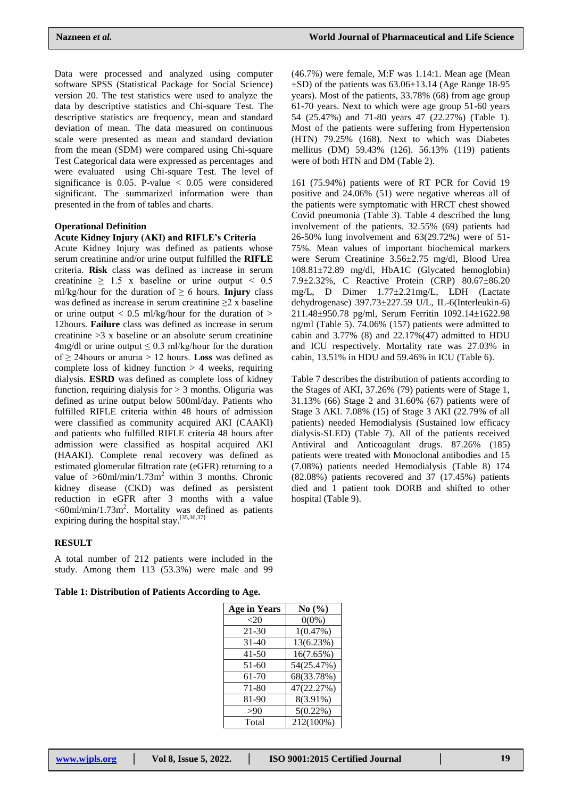(46.7%) were female, M:F was 1.14:1. Mean age (Mean

Data were processed and analyzed using computer software SPSS (Statistical Package for Social Science) version 20. The test statistics were used to analyze the data by descriptive statistics and Chi-square Test. The descriptive statistics are frequency, mean and standard deviation of mean. The data measured on continuous scale were presented as mean and standard deviation from the mean (SDM) were compared using Chi-square Test Categorical data were expressed as percentages and were evaluated using Chi-square Test. The level of significance is  $0.05$ . P-value  $\lt$  0.05 were considered significant. The summarized information were than presented in the from of tables and charts.

#### **Operational Definition**

#### **Acute Kidney Injury (AKI) and RIFLE's Criteria**

Acute Kidney Injury was defined as patients whose serum creatinine and/or urine output fulfilled the **RIFLE**  criteria. **Risk** class was defined as increase in serum creatinine  $\geq$  1.5 x baseline or urine output < 0.5 ml/kg/hour for the duration of  $\geq 6$  hours. **Injury** class was defined as increase in serum creatinine  $\geq 2$  x baseline or urine output  $< 0.5$  ml/kg/hour for the duration of  $>$ 12hours. **Failure** class was defined as increase in serum creatinine  $>3$  x baseline or an absolute serum creatinine 4mg/dl or urine output  $\leq$  0.3 ml/kg/hour for the duration of ≥ 24hours or anuria > 12 hours. **Loss** was defined as complete loss of kidney function  $> 4$  weeks, requiring dialysis. **ESRD** was defined as complete loss of kidney function, requiring dialysis for  $> 3$  months. Oliguria was defined as urine output below 500ml/day. Patients who fulfilled RIFLE criteria within 48 hours of admission were classified as community acquired AKI (CAAKI) and patients who fulfilled RIFLE criteria 48 hours after admission were classified as hospital acquired AKI (HAAKI). Complete renal recovery was defined as estimated glomerular filtration rate (eGFR) returning to a value of  $>60$ ml/min/1.73m<sup>2</sup> within 3 months. Chronic kidney disease (CKD) was defined as persistent reduction in eGFR after 3 months with a value  $<60$ ml/min/1.73m<sup>2</sup>. Mortality was defined as patients expiring during the hospital stay.<sup>[35,36,37]</sup>

#### **RESULT**

A total number of 212 patients were included in the study. Among them 113 (53.3%) were male and 99

#### **Table 1: Distribution of Patients According to Age.**

| <b>Age in Years</b> | No(%)       |
|---------------------|-------------|
| $<$ 20              | $0(0\%)$    |
| $21 - 30$           | 1(0.47%)    |
| $31 - 40$           | 13(6.23%)   |
| 41-50               | 16(7.65%)   |
| 51-60               | 54(25.47%)  |
| 61-70               | 68(33.78%)  |
| 71-80               | 47(22.27%)  |
| 81-90               | 8(3.91%)    |
| >90                 | $5(0.22\%)$ |
| Total               | 212(100%)   |

 $\pm$ SD) of the patients was 63.06 $\pm$ 13.14 (Age Range 18-95) years). Most of the patients, 33.78% (68) from age group 61-70 years. Next to which were age group 51-60 years 54 (25.47%) and 71-80 years 47 (22.27%) (Table 1). Most of the patients were suffering from Hypertension (HTN) 79.25% (168). Next to which was Diabetes mellitus (DM) 59.43% (126). 56.13% (119) patients were of both HTN and DM (Table 2).

161 (75.94%) patients were of RT PCR for Covid 19 positive and 24.06% (51) were negative whereas all of the patients were symptomatic with HRCT chest showed Covid pneumonia (Table 3). Table 4 described the lung involvement of the patients. 32.55% (69) patients had 26-50% lung involvement and 63(29.72%) were of 51- 75%. Mean values of important biochemical markers were Serum Creatinine 3.56±2.75 mg/dl, Blood Urea 108.81±72.89 mg/dl, HbA1C (Glycated hemoglobin) 7.9±2.32%, C Reactive Protein (CRP) 80.67±86.20 mg/L, D Dimer 1.77±2.21mg/L, LDH (Lactate dehydrogenase) 397.73±227.59 U/L, IL-6(Interleukin-6) 211.48±950.78 pg/ml, Serum Ferritin 1092.14±1622.98 ng/ml (Table 5). 74.06% (157) patients were admitted to cabin and  $3.77\%$  (8) and  $22.17\%$  (47) admitted to HDU and ICU respectively. Mortality rate was 27.03% in cabin, 13.51% in HDU and 59.46% in ICU (Table 6).

Table 7 describes the distribution of patients according to the Stages of AKI, 37.26% (79) patients were of Stage 1, 31.13% (66) Stage 2 and 31.60% (67) patients were of Stage 3 AKI. 7.08% (15) of Stage 3 AKI (22.79% of all patients) needed Hemodialysis (Sustained low efficacy dialysis-SLED) (Table 7). All of the patients received Antiviral and Anticoagulant drugs. 87.26% (185) patients were treated with Monoclonal antibodies and 15 (7.08%) patients needed Hemodialysis (Table 8) 174 (82.08%) patients recovered and 37 (17.45%) patients died and 1 patient took DORB and shifted to other hospital (Table 9).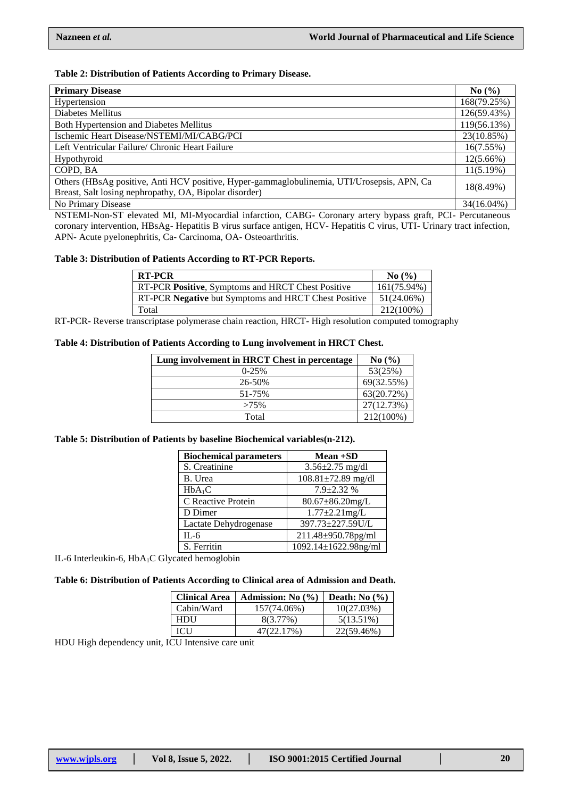# **Table 2: Distribution of Patients According to Primary Disease.**

| <b>Primary Disease</b>                                                                     | No $(\% )$  |
|--------------------------------------------------------------------------------------------|-------------|
| Hypertension                                                                               | 168(79.25%) |
| Diabetes Mellitus                                                                          | 126(59.43%) |
| Both Hypertension and Diabetes Mellitus                                                    | 119(56.13%) |
| Ischemic Heart Disease/NSTEMI/MI/CABG/PCI                                                  | 23(10.85%)  |
| Left Ventricular Failure/ Chronic Heart Failure                                            | 16(7.55%)   |
| Hypothyroid                                                                                | 12(5.66%)   |
| COPD, BA                                                                                   | 11(5.19%)   |
| Others (HBsAg positive, Anti HCV positive, Hyper-gammaglobulinemia, UTI/Urosepsis, APN, Ca | 18(8.49%)   |
| Breast, Salt losing nephropathy, OA, Bipolar disorder)                                     |             |
| No Primary Disease                                                                         | 34(16.04%)  |

NSTEMI-Non-ST elevated MI, MI-Myocardial infarction, CABG- Coronary artery bypass graft, PCI- Percutaneous coronary intervention, HBsAg- Hepatitis B virus surface antigen, HCV- Hepatitis C virus, UTI- Urinary tract infection, APN- Acute pyelonephritis, Ca- Carcinoma, OA- Osteoarthritis.

# **Table 3: Distribution of Patients According to RT-PCR Reports.**

| <b>RT-PCR</b>                                        | $\mathbf{No}(\% )$ |
|------------------------------------------------------|--------------------|
| RT-PCR Positive, Symptoms and HRCT Chest Positive    | 161(75.94%)        |
| RT-PCR Negative but Symptoms and HRCT Chest Positive | 51(24.06%)         |
| Total                                                | 212(100%)          |

RT-PCR- Reverse transcriptase polymerase chain reaction, HRCT- High resolution computed tomography

#### **Table 4: Distribution of Patients According to Lung involvement in HRCT Chest.**

| Lung involvement in HRCT Chest in percentage | No(%)      |
|----------------------------------------------|------------|
| $0-25%$                                      | 53(25%)    |
| 26-50%                                       | 69(32.55%) |
| 51-75%                                       | 63(20.72%) |
| $>75\%$                                      | 27(12.73%) |
| Total                                        | 212(100%)  |

# **Table 5: Distribution of Patients by baseline Biochemical variables(n-212).**

| <b>Biochemical parameters</b> | Mean +SD                 |
|-------------------------------|--------------------------|
| S. Creatinine                 | $3.56 \pm 2.75$ mg/dl    |
| B. Urea                       | $108.81 \pm 72.89$ mg/dl |
| HbA <sub>1</sub> C            | $7.9 \pm 2.32$ %         |
| C Reactive Protein            | $80.67 \pm 86.20$ mg/L   |
| D Dimer                       | $1.77 \pm 2.21$ mg/L     |
| Lactate Dehydrogenase         | 397.73±227.59U/L         |
| $IL-6$                        | 211.48±950.78pg/ml       |
| S. Ferritin                   | 1092.14±1622.98ng/ml     |

IL-6 Interleukin-6, HbA<sub>1</sub>C Glycated hemoglobin

# **Table 6: Distribution of Patients According to Clinical area of Admission and Death.**

| <b>Clinical Area</b> | Admission: No $(\% )$ | Death: No $(\% )$ |
|----------------------|-----------------------|-------------------|
| Cabin/Ward           | 157(74.06%)           | 10(27.03%)        |
| HDU                  | $8(3.77\%)$           | $5(13.51\%)$      |
| ICH                  | 47(22.17%)            | 22(59.46%)        |

HDU High dependency unit, ICU Intensive care unit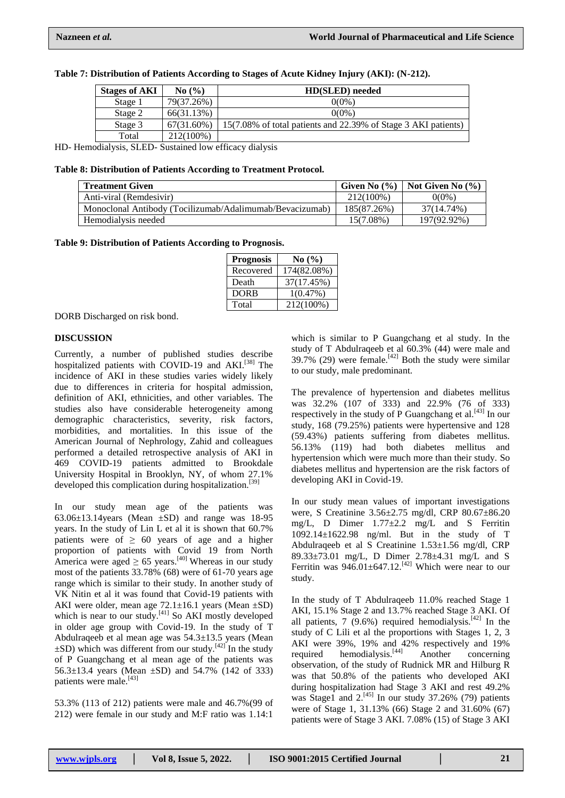| <b>Stages of AKI</b> | No(%)      | HD(SLED) needed                                                |
|----------------------|------------|----------------------------------------------------------------|
| Stage 1              | 79(37.26%) | $0(0\%)$                                                       |
| Stage 2              | 66(31.13%) | $0(0\%)$                                                       |
| Stage 3              | 67(31.60%) | 15(7.08% of total patients and 22.39% of Stage 3 AKI patients) |
| Total                | 212(100%)  |                                                                |

#### **Table 7: Distribution of Patients According to Stages of Acute Kidney Injury (AKI): (N-212).**

HD- Hemodialysis, SLED- Sustained low efficacy dialysis

#### **Table 8: Distribution of Patients According to Treatment Protocol.**

| <b>Treatment Given</b>                                   | Given No $(\% )$ | Not Given No $(\% )$ |
|----------------------------------------------------------|------------------|----------------------|
| Anti-viral (Remdesivir)                                  | 212(100%)        | $0(0\%)$             |
| Monoclonal Antibody (Tocilizumab/Adalimumab/Bevacizumab) | 185(87.26%)      | 37(14.74%)           |
| Hemodialysis needed                                      | $15(7.08\%)$     | 197(92.92%)          |

# **Table 9: Distribution of Patients According to Prognosis.**

| <b>Prognosis</b> | No(%)       |
|------------------|-------------|
| Recovered        | 174(82.08%) |
| Death            | 37(17.45%)  |
| <b>DORB</b>      | 1(0.47%)    |
| Total            | 212(100%)   |

DORB Discharged on risk bond.

# **DISCUSSION**

Currently, a number of published studies describe hospitalized patients with COVID-19 and AKI.<sup>[38]</sup> The incidence of AKI in these studies varies widely likely due to differences in criteria for hospital admission, definition of AKI, ethnicities, and other variables. The studies also have considerable heterogeneity among demographic characteristics, severity, risk factors, morbidities, and mortalities. In this issue of the American Journal of Nephrology, Zahid and colleagues performed a detailed retrospective analysis of AKI in 469 COVID-19 patients admitted to Brookdale University Hospital in Brooklyn, NY, of whom 27.1% developed this complication during hospitalization.<sup>[39]</sup>

In our study mean age of the patients was  $63.06\pm13.14$ years (Mean  $\pm$ SD) and range was 18-95 years. In the study of Lin L et al it is shown that 60.7% patients were of  $\geq 60$  years of age and a higher proportion of patients with Covid 19 from North America were aged  $\geq 65$  years.<sup>[40]</sup> Whereas in our study most of the patients 33.78% (68) were of 61-70 years age range which is similar to their study. In another study of VK Nitin et al it was found that Covid-19 patients with AKI were older, mean age 72.1±16.1 years (Mean ±SD) which is near to our study.<sup>[41]</sup> So AKI mostly developed in older age group with Covid-19. In the study of T Abdulraqeeb et al mean age was 54.3±13.5 years (Mean  $\pm$ SD) which was different from our study.<sup>[42]</sup> In the study of P Guangchang et al mean age of the patients was 56.3±13.4 years (Mean ±SD) and 54.7% (142 of 333) patients were male.<sup>[43]</sup>

53.3% (113 of 212) patients were male and 46.7%(99 of 212) were female in our study and M:F ratio was 1.14:1

which is similar to P Guangchang et al study. In the study of T Abdulraqeeb et al 60.3% (44) were male and 39.7% (29) were female.<sup>[42]</sup> Both the study were similar to our study, male predominant.

The prevalence of hypertension and diabetes mellitus was 32.2% (107 of 333) and 22.9% (76 of 333) respectively in the study of P Guangchang et al.  $[43]$  In our study, 168 (79.25%) patients were hypertensive and 128 (59.43%) patients suffering from diabetes mellitus. 56.13% (119) had both diabetes mellitus and hypertension which were much more than their study. So diabetes mellitus and hypertension are the risk factors of developing AKI in Covid-19.

In our study mean values of important investigations were, S Creatinine 3.56±2.75 mg/dl, CRP 80.67±86.20 mg/L, D Dimer 1.77±2.2 mg/L and S Ferritin 1092.14±1622.98 ng/ml. But in the study of T Abdulraqeeb et al S Creatinine 1.53±1.56 mg/dl, CRP 89.33±73.01 mg/L, D Dimer 2.78±4.31 mg/L and S Ferritin was  $946.01 \pm 647.12$ .<sup>[42]</sup> Which were near to our study.

In the study of T Abdulraqeeb 11.0% reached Stage 1 AKI, 15.1% Stage 2 and 13.7% reached Stage 3 AKI. Of all patients,  $7$  (9.6%) required hemodialysis.<sup>[42]</sup> In the study of C Lili et al the proportions with Stages 1, 2, 3 AKI were 39%, 19% and 42% respectively and 19% required hemodialysis.[44] Another concerning observation, of the study of Rudnick MR and Hilburg R was that 50.8% of the patients who developed AKI during hospitalization had Stage 3 AKI and rest 49.2% was Stage1 and  $2.^{[45]}$  In our study 37.26% (79) patients were of Stage 1, 31.13% (66) Stage 2 and 31.60% (67) patients were of Stage 3 AKI. 7.08% (15) of Stage 3 AKI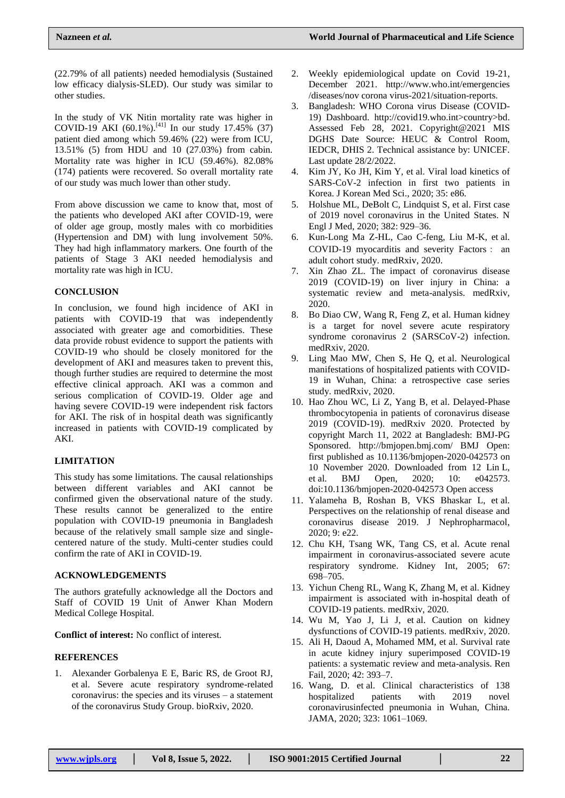(22.79% of all patients) needed hemodialysis (Sustained low efficacy dialysis-SLED). Our study was similar to other studies.

In the study of VK Nitin mortality rate was higher in COVID-19 AKI  $(60.1\%)$ .<sup>[41]</sup> In our study 17.45%  $(37)$ patient died among which 59.46% (22) were from ICU, 13.51% (5) from HDU and 10 (27.03%) from cabin. Mortality rate was higher in ICU (59.46%). 82.08% (174) patients were recovered. So overall mortality rate of our study was much lower than other study.

From above discussion we came to know that, most of the patients who developed AKI after COVID-19, were of older age group, mostly males with co morbidities (Hypertension and DM) with lung involvement 50%. They had high inflammatory markers. One fourth of the patients of Stage 3 AKI needed hemodialysis and mortality rate was high in ICU.

# **CONCLUSION**

In conclusion, we found high incidence of AKI in patients with COVID-19 that was independently associated with greater age and comorbidities. These data provide robust evidence to support the patients with COVID-19 who should be closely monitored for the development of AKI and measures taken to prevent this, though further studies are required to determine the most effective clinical approach. AKI was a common and serious complication of COVID-19. Older age and having severe COVID-19 were independent risk factors for AKI. The risk of in hospital death was significantly increased in patients with COVID-19 complicated by AKI.

# **LIMITATION**

This study has some limitations. The causal relationships between different variables and AKI cannot be confirmed given the observational nature of the study. These results cannot be generalized to the entire population with COVID-19 pneumonia in Bangladesh because of the relatively small sample size and singlecentered nature of the study. Multi-center studies could confirm the rate of AKI in COVID-19.

# **ACKNOWLEDGEMENTS**

The authors gratefully acknowledge all the Doctors and Staff of COVID 19 Unit of Anwer Khan Modern Medical College Hospital.

**Conflict of interest:** No conflict of interest.

# **REFERENCES**

1. Alexander Gorbalenya E E, Baric RS, de Groot RJ, et al. Severe acute respiratory syndrome-related coronavirus: the species and its viruses – a statement of the coronavirus Study Group. bioRxiv, 2020.

- 2. Weekly epidemiological update on Covid 19-21, December 2021. [http://www.who.int/emergencies](http://www.who.int/emergencies/diseases/nov) [/diseases/nov](http://www.who.int/emergencies/diseases/nov) corona virus-2021/situation-reports.
- 3. Bangladesh: WHO Corona virus Disease (COVID-19) Dashboard. http://covid19.who.int>country>bd. Assessed Feb 28, 2021. Copyright@2021 MIS DGHS Date Source: HEUC & Control Room, IEDCR, DHIS 2. Technical assistance by: UNICEF. Last update 28/2/2022.
- 4. Kim JY, Ko JH, Kim Y, et al. Viral load kinetics of SARS-CoV-2 infection in first two patients in Korea. J Korean Med Sci., 2020; 35: e86.
- 5. Holshue ML, DeBolt C, Lindquist S, et al. First case of 2019 novel coronavirus in the United States. N Engl J Med, 2020; 382: 929–36.
- 6. Kun-Long Ma Z-HL, Cao C-feng, Liu M-K, et al. COVID-19 myocarditis and severity Factors: an adult cohort study. medRxiv, 2020.
- 7. Xin Zhao ZL. The impact of coronavirus disease 2019 (COVID-19) on liver injury in China: a systematic review and meta-analysis. medRxiv, 2020.
- 8. Bo Diao CW, Wang R, Feng Z, et al. Human kidney is a target for novel severe acute respiratory syndrome coronavirus 2 (SARSCoV-2) infection. medRxiv, 2020.
- 9. Ling Mao MW, Chen S, He Q, et al. Neurological manifestations of hospitalized patients with COVID-19 in Wuhan, China: a retrospective case series study. medRxiv, 2020.
- 10. Hao Zhou WC, Li Z, Yang B, et al. Delayed-Phase thrombocytopenia in patients of coronavirus disease 2019 (COVID-19). medRxiv 2020. Protected by copyright March 11, 2022 at Bangladesh: BMJ-PG Sponsored. http://bmjopen.bmj.com/ BMJ Open: first published as 10.1136/bmjopen-2020-042573 on 10 November 2020. Downloaded from 12 Lin L, et al. BMJ Open, 2020; 10: e042573. doi:10.1136/bmjopen-2020-042573 Open access
- 11. Yalameha B, Roshan B, VKS Bhaskar L, et al. Perspectives on the relationship of renal disease and coronavirus disease 2019. J Nephropharmacol, 2020; 9: e22.
- 12. Chu KH, Tsang WK, Tang CS, et al. Acute renal impairment in coronavirus-associated severe acute respiratory syndrome. Kidney Int, 2005; 67: 698–705.
- 13. Yichun Cheng RL, Wang K, Zhang M, et al. Kidney impairment is associated with in-hospital death of COVID-19 patients. medRxiv, 2020.
- 14. Wu M, Yao J, Li J, et al. Caution on kidney dysfunctions of COVID-19 patients. medRxiv, 2020.
- 15. Ali H, Daoud A, Mohamed MM, et al. Survival rate in acute kidney injury superimposed COVID-19 patients: a systematic review and meta-analysis. Ren Fail, 2020; 42: 393–7.
- 16. Wang, D. et al. Clinical characteristics of 138 hospitalized patients with 2019 novel coronavirusinfected pneumonia in Wuhan, China. JAMA, 2020; 323: 1061–1069.